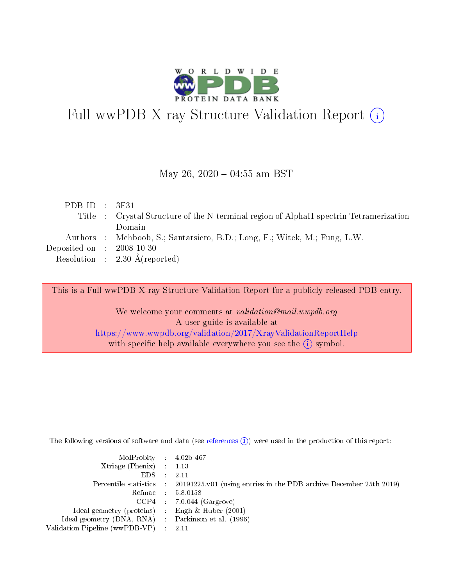

# Full wwPDB X-ray Structure Validation Report (i)

#### May 26,  $2020 - 04:55$  am BST

| PDBID : 3F31                         |                                                                                        |
|--------------------------------------|----------------------------------------------------------------------------------------|
|                                      | Title : Crystal Structure of the N-terminal region of AlphaII-spectrin Tetramerization |
|                                      | Domain                                                                                 |
|                                      | Authors : Mehboob, S.; Santarsiero, B.D.; Long, F.; Witek, M.; Fung, L.W.              |
| Deposited on $\therefore$ 2008-10-30 |                                                                                        |
|                                      | Resolution : $2.30 \text{ Å}$ (reported)                                               |
|                                      |                                                                                        |

This is a Full wwPDB X-ray Structure Validation Report for a publicly released PDB entry.

We welcome your comments at validation@mail.wwpdb.org A user guide is available at <https://www.wwpdb.org/validation/2017/XrayValidationReportHelp> with specific help available everywhere you see the  $(i)$  symbol.

The following versions of software and data (see [references](https://www.wwpdb.org/validation/2017/XrayValidationReportHelp#references)  $(i)$ ) were used in the production of this report:

| $MolProbability$ 4.02b-467                          |                                                                                            |
|-----------------------------------------------------|--------------------------------------------------------------------------------------------|
| Xtriage (Phenix) $: 1.13$                           |                                                                                            |
| EDS -                                               | -2.11                                                                                      |
|                                                     | Percentile statistics : 20191225.v01 (using entries in the PDB archive December 25th 2019) |
|                                                     | Refmac 58.0158                                                                             |
|                                                     | $CCP4$ : 7.0.044 (Gargrove)                                                                |
| Ideal geometry (proteins) : Engh $\&$ Huber (2001)  |                                                                                            |
| Ideal geometry (DNA, RNA) : Parkinson et al. (1996) |                                                                                            |
| Validation Pipeline (wwPDB-VP) :                    | -2.11                                                                                      |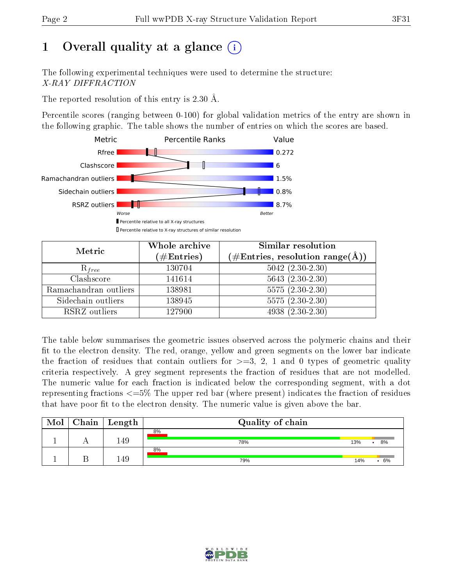# 1 [O](https://www.wwpdb.org/validation/2017/XrayValidationReportHelp#overall_quality)verall quality at a glance  $(i)$

The following experimental techniques were used to determine the structure: X-RAY DIFFRACTION

The reported resolution of this entry is 2.30 Å.

Percentile scores (ranging between 0-100) for global validation metrics of the entry are shown in the following graphic. The table shows the number of entries on which the scores are based.



| Metric                | Whole archive<br>$(\#\mathrm{Entries})$ | <b>Similar resolution</b><br>$(\#\text{Entries},\,\text{resolution}\,\,\text{range}(\textup{\AA}))$ |
|-----------------------|-----------------------------------------|-----------------------------------------------------------------------------------------------------|
| $R_{free}$            | 130704                                  | $5042$ $(2.30-2.30)$                                                                                |
| Clashscore            | 141614                                  | $5643(2.30-2.30)$                                                                                   |
| Ramachandran outliers | 138981                                  | $5575(2.30-2.30)$                                                                                   |
| Sidechain outliers    | 138945                                  | $5575(2.30-2.30)$                                                                                   |
| RSRZ outliers         | 127900                                  | $4938 (2.30 - 2.30)$                                                                                |

The table below summarises the geometric issues observed across the polymeric chains and their fit to the electron density. The red, orange, yellow and green segments on the lower bar indicate the fraction of residues that contain outliers for  $>=3, 2, 1$  and 0 types of geometric quality criteria respectively. A grey segment represents the fraction of residues that are not modelled. The numeric value for each fraction is indicated below the corresponding segment, with a dot representing fractions <=5% The upper red bar (where present) indicates the fraction of residues that have poor fit to the electron density. The numeric value is given above the bar.

| Mol | $Chain \  Length$ | Quality of chain |     |    |
|-----|-------------------|------------------|-----|----|
|     |                   | 8%               |     |    |
|     | 149               | 78%              | 13% | 8% |
|     |                   | 8%               |     |    |
|     | .49               | 79%              | 14% | 6% |

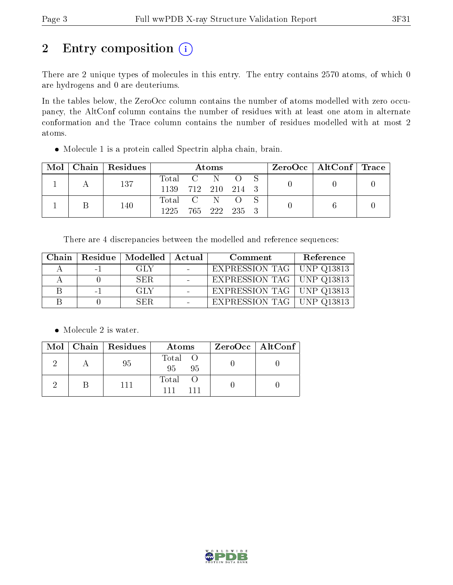# 2 Entry composition (i)

There are 2 unique types of molecules in this entry. The entry contains 2570 atoms, of which 0 are hydrogens and 0 are deuteriums.

In the tables below, the ZeroOcc column contains the number of atoms modelled with zero occupancy, the AltConf column contains the number of residues with at least one atom in alternate conformation and the Trace column contains the number of residues modelled with at most 2 atoms.

Molecule 1 is a protein called Spectrin alpha chain, brain.

| Mol | Chain   Residues | <b>Atoms</b>       |  |  |  |  | ZeroOcc   AltConf   Trace |  |
|-----|------------------|--------------------|--|--|--|--|---------------------------|--|
|     | 137              | Total C N          |  |  |  |  |                           |  |
|     |                  | 1139 712 210 214 3 |  |  |  |  |                           |  |
|     | 140              | Total C N O        |  |  |  |  |                           |  |
|     |                  | 1225 765 222 235 3 |  |  |  |  |                           |  |

There are 4 discrepancies between the modelled and reference sequences:

| Chain |           | Residue   Modelled   Actual | Comment                     | Reference |
|-------|-----------|-----------------------------|-----------------------------|-----------|
|       | $-1$      | GLY                         | EXPRESSION TAG   UNP Q13813 |           |
|       |           | -SER                        | EXPRESSION TAG   UNP Q13813 |           |
|       | $\sim$ 1. | GLY                         | EXPRESSION TAG   UNP Q13813 |           |
|       |           | SER-                        | EXPRESSION TAG   UNP Q13813 |           |

• Molecule 2 is water.

|  | Mol   Chain   Residues | Atoms                | $ZeroOcc \   \$ AltConf |
|--|------------------------|----------------------|-------------------------|
|  | 95                     | Total O<br>95<br>-95 |                         |
|  | 111                    | Total O<br>111       |                         |

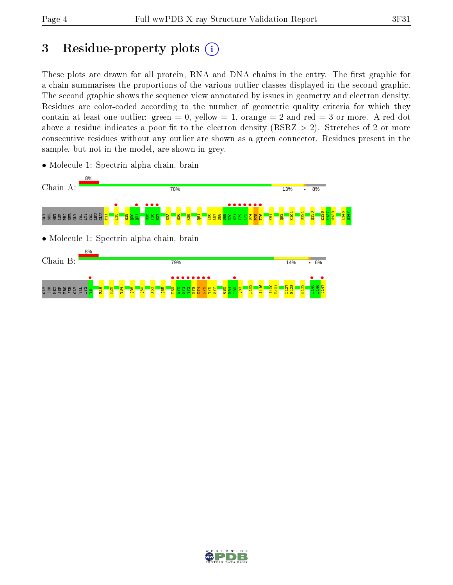# 3 Residue-property plots  $(i)$

These plots are drawn for all protein, RNA and DNA chains in the entry. The first graphic for a chain summarises the proportions of the various outlier classes displayed in the second graphic. The second graphic shows the sequence view annotated by issues in geometry and electron density. Residues are color-coded according to the number of geometric quality criteria for which they contain at least one outlier: green  $= 0$ , yellow  $= 1$ , orange  $= 2$  and red  $= 3$  or more. A red dot above a residue indicates a poor fit to the electron density (RSRZ  $> 2$ ). Stretches of 2 or more consecutive residues without any outlier are shown as a green connector. Residues present in the sample, but not in the model, are shown in grey.



• Molecule 1: Spectrin alpha chain, brain

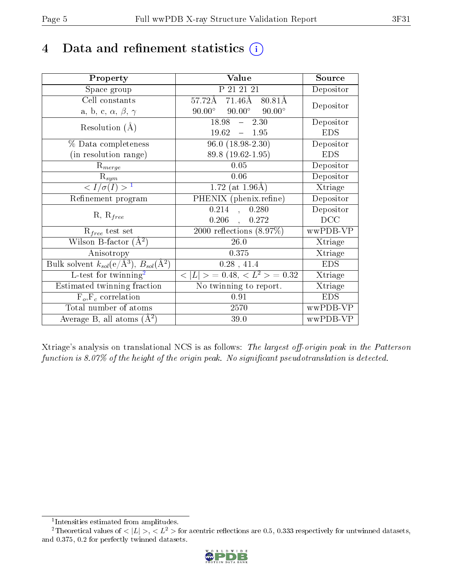# 4 Data and refinement statistics  $(i)$

| Property                                                         | Value                                           | Source     |
|------------------------------------------------------------------|-------------------------------------------------|------------|
| Space group                                                      | P 21 21 21                                      | Depositor  |
| Cell constants                                                   | $71.46\text{\AA}$<br>57.72Å<br>80.81Å           | Depositor  |
| a, b, c, $\alpha$ , $\beta$ , $\gamma$                           | $90.00^\circ$<br>$90.00^\circ$<br>$90.00^\circ$ |            |
| Resolution $(A)$                                                 | $18.98 -$<br>2.30                               | Depositor  |
|                                                                  | $19.62 - 1.95$                                  | <b>EDS</b> |
| % Data completeness                                              | $96.0(18.98-2.30)$                              | Depositor  |
| (in resolution range)                                            | 89.8 (19.62-1.95)                               | <b>EDS</b> |
| $R_{merge}$                                                      | $0.05\,$                                        | Depositor  |
| $\mathrm{R}_{sym}$                                               | 0.06                                            | Depositor  |
| $\langle I/\sigma(I) \rangle^{-1}$                               | 1.72 (at $1.96\text{\AA}$ )                     | Xtriage    |
| Refinement program                                               | PHENIX (phenix.refine)                          | Depositor  |
|                                                                  | 0.214<br>0.280<br>$\mathcal{A}^{\pm}$           | Depositor  |
| $R, R_{free}$                                                    | $0.206$ ,<br>0.272                              | DCC        |
| $R_{free}$ test set                                              | $\overline{2000}$ reflections $(8.97\%)$        | wwPDB-VP   |
| Wilson B-factor $(A^2)$                                          | 26.0                                            | Xtriage    |
| Anisotropy                                                       | 0.375                                           | Xtriage    |
| Bulk solvent $k_{sol}(\text{e}/\text{A}^3), B_{sol}(\text{A}^2)$ | $0.28$ , 41.4                                   | <b>EDS</b> |
| L-test for twinning <sup>2</sup>                                 | $< L >$ = 0.48, $< L2 >$ = 0.32                 | Xtriage    |
| Estimated twinning fraction                                      | No twinning to report.                          | Xtriage    |
| $F_o, F_c$ correlation                                           | 0.91                                            | <b>EDS</b> |
| Total number of atoms                                            | 2570                                            | wwPDB-VP   |
| Average B, all atoms $(A^2)$                                     | 39.0                                            | wwPDB-VP   |

Xtriage's analysis on translational NCS is as follows: The largest off-origin peak in the Patterson function is  $8.07\%$  of the height of the origin peak. No significant pseudotranslation is detected.

<sup>&</sup>lt;sup>2</sup>Theoretical values of  $\langle |L| \rangle$ ,  $\langle L^2 \rangle$  for acentric reflections are 0.5, 0.333 respectively for untwinned datasets, and 0.375, 0.2 for perfectly twinned datasets.



<span id="page-4-1"></span><span id="page-4-0"></span><sup>1</sup> Intensities estimated from amplitudes.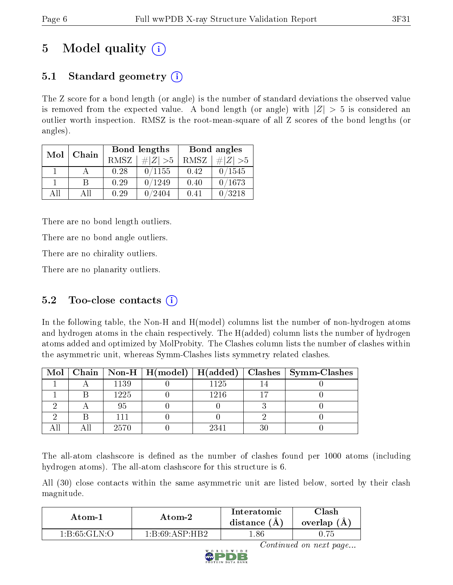# 5 Model quality  $(i)$

## 5.1 Standard geometry  $\overline{()}$

The Z score for a bond length (or angle) is the number of standard deviations the observed value is removed from the expected value. A bond length (or angle) with  $|Z| > 5$  is considered an outlier worth inspection. RMSZ is the root-mean-square of all Z scores of the bond lengths (or angles).

| Mol | Chain |      | Bond lengths | Bond angles |             |  |
|-----|-------|------|--------------|-------------|-------------|--|
|     |       | RMSZ | $\# Z  > 5$  | RMSZ        | # $ Z  > 5$ |  |
|     |       | 0.28 | 0/1155       | 0.42        | 0/1545      |  |
|     | В     | 0.29 | 0/1249       | 0.40        | 0/1673      |  |
| AH  | Αll   | 0.29 | 2404         | 0.41        | /3218       |  |

There are no bond length outliers.

There are no bond angle outliers.

There are no chirality outliers.

There are no planarity outliers.

### $5.2$  Too-close contacts  $(i)$

In the following table, the Non-H and H(model) columns list the number of non-hydrogen atoms and hydrogen atoms in the chain respectively. The H(added) column lists the number of hydrogen atoms added and optimized by MolProbity. The Clashes column lists the number of clashes within the asymmetric unit, whereas Symm-Clashes lists symmetry related clashes.

|  |      |      |    | Mol   Chain   Non-H   H(model)   H(added)   Clashes   Symm-Clashes |
|--|------|------|----|--------------------------------------------------------------------|
|  | 1139 | 1125 |    |                                                                    |
|  | 1225 | 1216 |    |                                                                    |
|  | 95   |      |    |                                                                    |
|  |      |      |    |                                                                    |
|  | 2570 | 2341 | 30 |                                                                    |

The all-atom clashscore is defined as the number of clashes found per 1000 atoms (including hydrogen atoms). The all-atom clashscore for this structure is 6.

All (30) close contacts within the same asymmetric unit are listed below, sorted by their clash magnitude.

| Atom-1                                 | Atom-2            | Interatomic<br>distance $(A)$ | $\gamma$ lash<br>overlap (A |
|----------------------------------------|-------------------|-------------------------------|-----------------------------|
| $1 \cdot B \cdot 65 \cdot GLN \cdot O$ | 1. B.69 A SP H B2 | .86                           |                             |



Continued on next page...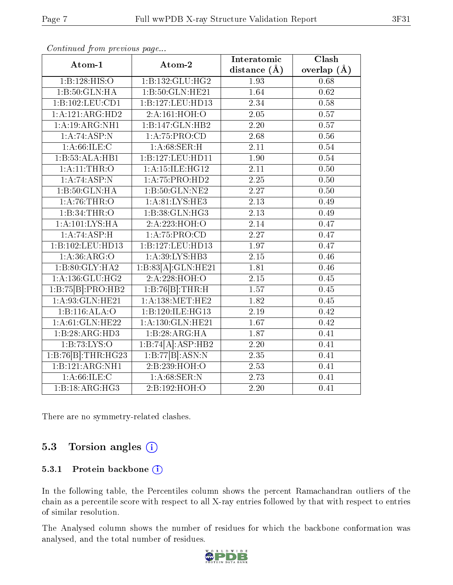| Atom-1                       | Atom-2              | Interatomic       | Clash           |
|------------------------------|---------------------|-------------------|-----------------|
|                              |                     | distance $(A)$    | overlap $(\AA)$ |
| 1:B:128:HIS:O                | 1:B:132:GLU:HG2     | 1.93              | 0.68            |
| 1:B:50:GLN:HA                | 1:B:50:GLN:HE21     | 1.64              | 0.62            |
| 1:B:102:LEU:CD1              | 1:B:127:LEU:HD13    | 2.34              | 0.58            |
| $1:A:121:ARG:\overline{HD2}$ | 2:A:161:HOH:O       | 2.05              | 0.57            |
| 1:A:19:ARG:NH1               | 1:B:147:GLN:HB2     | 2.20              | 0.57            |
| 1:A:74:ASP:N                 | 1:A:75:PRO:CD       | 2.68              | $0.56\,$        |
| 1: A:66: ILE:C               | 1: A:68: SER:H      | $\overline{2.11}$ | 0.54            |
| 1:B:53:ALA:HB1               | 1:B:127:LEU:HD11    | 1.90              | 0.54            |
| 1: A:11:THR:O                | 1:A:15:ILE:HG12     | 2.11              | 0.50            |
| 1:A:74:ASP:N                 | 1:A:75:PRO:HD2      | 2.25              | 0.50            |
| 1:B:50:GLN:HA                | 1:B:50:GLN:NE2      | 2.27              | $0.50\,$        |
| 1: A:76:THR:O                | 1: A:81: LYS: HE3   | 2.13              | 0.49            |
| 1:B:34:THR:O                 | 1:B:38:GLN:HG3      | $\overline{2.13}$ | 0.49            |
| 1: A: 101: LYS: HA           | 2:A:223:HOH:O       | 2.14              | 0.47            |
| 1:A:74:ASP:H                 | 1:A:75:PRO:CD       | $\overline{2.27}$ | 0.47            |
| 1:B:102:LEU:HD13             | 1:B:127:LEU:HD13    | 1.97              | 0.47            |
| 1:A:36:ARG:O                 | 1:A:39:LYS:HB3      | 2.15              | 0.46            |
| 1:B:80:GLY:HA2               | 1:B:83[A]:GLN:HE21  | 1.81              | 0.46            |
| 1: A: 136: GLU: HG2          | 2:A:228:HOH:O       | 2.15              | 0.45            |
| 1:B:75[B]:PRO:HB2            | 1:B:76[B]:THR:H     | 1.57              | 0.45            |
| 1: A:93: GLN: HE21           | 1: A: 138: MET: HE2 | 1.82              | 0.45            |
| 1:B:116:ALA:O                | 1:B:120:ILE:HG13    | 2.19              | 0.42            |
| 1: A:61: GLN: HE22           | 1:A:130:GLN:HE21    | 1.67              | 0.42            |
| 1:B:28:ARG:HD3               | 1:B:28:ARG:HA       | 1.87              | 0.41            |
| 1:B:73:LYS:O                 | 1:B:74[A]:ASP:HB2   | $\overline{2.20}$ | 0.41            |
| 1:B:76[B]:THR:HG23           | 1:B:77[B]:ASN:N     | 2.35              | 0.41            |
| 1:B:121:ARG:NH1              | 2:B:239:HOH:O       | 2.53              | 0.41            |
| 1: A:66: ILE:C               | 1: A:68: SER: N     | 2.73              | 0.41            |
| 1:B:18:ARG:HG3               | 2:B:192:HOH:O       | 2.20              | 0.41            |

Continued from previous page...

There are no symmetry-related clashes.

### 5.3 Torsion angles (i)

#### 5.3.1 Protein backbone (i)

In the following table, the Percentiles column shows the percent Ramachandran outliers of the chain as a percentile score with respect to all X-ray entries followed by that with respect to entries of similar resolution.

The Analysed column shows the number of residues for which the backbone conformation was analysed, and the total number of residues.

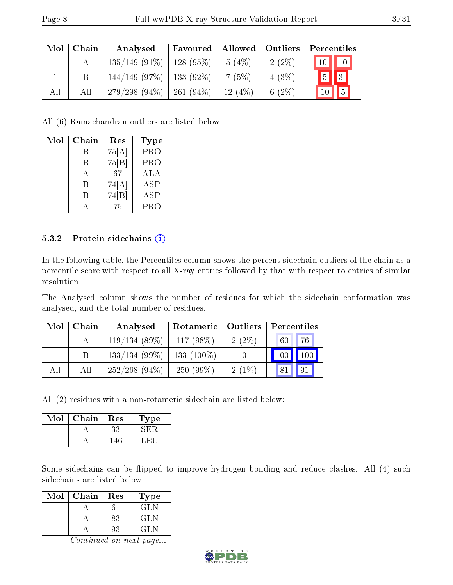| Mol | Chain | Analysed                     | Favoured    |        | Allowed   Outliers | Percentiles               |
|-----|-------|------------------------------|-------------|--------|--------------------|---------------------------|
|     |       | $135/149(91\%)$              | $128(95\%)$ | 5(4%)  | $2(2\%)$           | 10   10                   |
|     |       | $144/149$ (97\%)             | $133(92\%)$ | 7(5%)  | $4(3\%)$           | $\sqrt{3}$<br>$\boxed{5}$ |
| All | All   | $279/298(94\%)$   261 (94\%) |             | 12(4%) | 6 $(2\%)$          | 15<br>10 <sup>1</sup>     |

All (6) Ramachandran outliers are listed below:

| Mol | Chain | Res   | <b>Type</b>             |
|-----|-------|-------|-------------------------|
|     | В     | 75[A] | $\overline{\text{PRO}}$ |
|     |       | 75 B  | PRO                     |
|     |       | 67    | ALA                     |
|     | R     | 74[A] | ASP                     |
|     | В     | 74[B] | <b>ASP</b>              |
|     |       | 75    | $\overline{P}RO$        |

#### 5.3.2 Protein sidechains (i)

In the following table, the Percentiles column shows the percent sidechain outliers of the chain as a percentile score with respect to all X-ray entries followed by that with respect to entries of similar resolution.

The Analysed column shows the number of residues for which the sidechain conformation was analysed, and the total number of residues.

| Mol | Chain | Analysed         | Rotameric    | Outliers | Percentiles         |     |
|-----|-------|------------------|--------------|----------|---------------------|-----|
|     |       | 119/134(89%)     | 117 $(98\%)$ | $2(2\%)$ | 60                  | 76  |
|     |       | $133/134(99\%)$  | $133(100\%)$ |          | $\vert$ 100 $\vert$ | 100 |
| All | All   | $252/268$ (94\%) | $250(99\%)$  | $2(1\%)$ | 81                  | 91  |

All (2) residues with a non-rotameric sidechain are listed below:

| Mol | Chain | Res | L'ype |
|-----|-------|-----|-------|
|     |       | 33  |       |
|     |       |     |       |

Some sidechains can be flipped to improve hydrogen bonding and reduce clashes. All (4) such sidechains are listed below:

| Mol | Chain | Res | Fype  |
|-----|-------|-----|-------|
|     |       |     | GL N  |
|     |       | 83  | GL N  |
|     |       |     | 141.N |

Continued on next page...

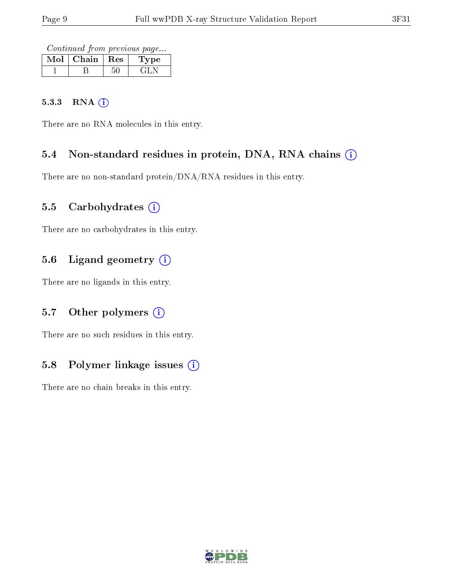Continued from previous page...

| $Mol$   Chain   Res |  | Type  |
|---------------------|--|-------|
|                     |  | الله، |

#### 5.3.3 RNA [O](https://www.wwpdb.org/validation/2017/XrayValidationReportHelp#rna)i

There are no RNA molecules in this entry.

### 5.4 Non-standard residues in protein, DNA, RNA chains (i)

There are no non-standard protein/DNA/RNA residues in this entry.

### 5.5 Carbohydrates  $(i)$

There are no carbohydrates in this entry.

### 5.6 Ligand geometry (i)

There are no ligands in this entry.

### 5.7 [O](https://www.wwpdb.org/validation/2017/XrayValidationReportHelp#nonstandard_residues_and_ligands)ther polymers (i)

There are no such residues in this entry.

### 5.8 Polymer linkage issues  $(i)$

There are no chain breaks in this entry.

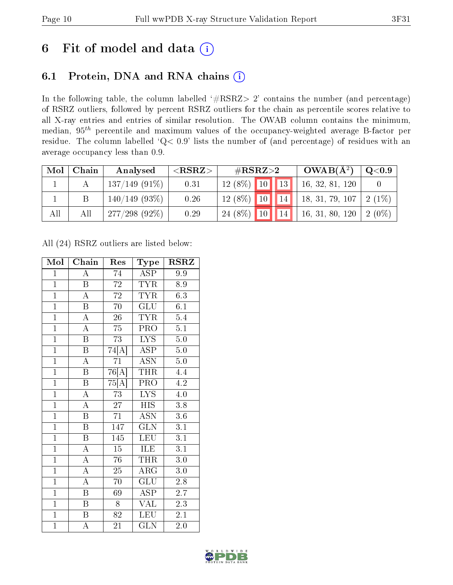# 6 Fit of model and data  $(i)$

### 6.1 Protein, DNA and RNA chains  $(i)$

In the following table, the column labelled  $#RSRZ> 2'$  contains the number (and percentage) of RSRZ outliers, followed by percent RSRZ outliers for the chain as percentile scores relative to all X-ray entries and entries of similar resolution. The OWAB column contains the minimum, median,  $95<sup>th</sup>$  percentile and maximum values of the occupancy-weighted average B-factor per residue. The column labelled ' $Q< 0.9$ ' lists the number of (and percentage) of residues with an average occupancy less than 0.9.

| Mol | Chain | Analysed         | $<$ RSRZ $>$ | $\#\text{RSRZ}{>}2$ |  | $OWAB(A^2)$ | $\mathrm{Q}{<}0.9$              |          |
|-----|-------|------------------|--------------|---------------------|--|-------------|---------------------------------|----------|
|     |       | $137/149(91\%)$  | 0.31         | $12(8\%)$ 10 13     |  |             | 16, 32, 81, 120                 |          |
|     |       | $140/149(93\%)$  | 0.26         |                     |  |             | $12(8\%)$ 10 14 18, 31, 79, 107 | $2(1\%)$ |
| All | All   | $277/298$ (92\%) | 0.29         | $24(8\%)$ 10        |  | 14          | 16, 31, 80, 120                 | $2(0\%)$ |

All (24) RSRZ outliers are listed below:

| Mol            | Chain                   | Res                   | Type                           | <b>RSRZ</b>      |
|----------------|-------------------------|-----------------------|--------------------------------|------------------|
| $\mathbf{1}$   | $\overline{A}$          | 74                    | <b>ASP</b>                     | 9.9              |
| $\overline{1}$ | $\overline{\mathrm{B}}$ | $\overline{72}$       | TYR                            | 8.9              |
| $\overline{1}$ | $\overline{A}$          | $\overline{72}$       | $\overline{\text{TYR}}$        | 6.3              |
| $\overline{1}$ | $\boldsymbol{B}$        | $\overline{70}$       | GLU                            | 6.1              |
| $\overline{1}$ | $\overline{A}$          | $\overline{26}$       | <b>TYR</b>                     | 5.4              |
| $\mathbf{1}$   | $\boldsymbol{A}$        | 75                    | PRO                            | 5.1              |
| $\overline{1}$ | $\overline{\mathrm{B}}$ | 73                    | $\overline{\text{LYS}}$        | 5.0              |
| $\overline{1}$ | B                       | 74[A]                 | <b>ASP</b>                     | 5.0              |
| $\overline{1}$ | $\overline{\rm A}$      | 71                    | $\text{AS}\overline{\text{N}}$ | 5.0              |
| $\overline{1}$ | $\overline{\mathrm{B}}$ | $\overline{76[A]}$    | THR                            | 4.4              |
| $\overline{1}$ | $\boldsymbol{B}$        | $75\vert\bar{A}\vert$ | PRO                            | $\overline{4.2}$ |
| $\overline{1}$ | $\overline{\rm A}$      | 73                    | $\overline{\text{LYS}}$        | $\overline{4.0}$ |
| $\overline{1}$ | $\overline{\rm A}$      | $\overline{27}$       | <b>HIS</b>                     | 3.8              |
| $\overline{1}$ | $\overline{\mathrm{B}}$ | $\overline{71}$       | $\overline{\mathrm{ASN}}$      | 3.6              |
| $\overline{1}$ | $\overline{\mathrm{B}}$ | 147                   | $\overline{\text{GLN}}$        | $\overline{3.1}$ |
| $\overline{1}$ | $\, {\bf B}$            | 145                   | LEU                            | 3.1              |
| $\overline{1}$ | $\overline{\rm A}$      | $\overline{15}$       | <b>ILE</b>                     | $\overline{3.1}$ |
| $\overline{1}$ | $\overline{\rm A}$      | 76                    | <b>THR</b>                     | 3.0              |
| $\overline{1}$ | $\overline{\rm A}$      | $\overline{25}$       | $\overline{\rm{ARG}}$          | 3.0              |
| $\overline{1}$ | $\overline{A}$          | 70                    | GLU                            | $2.8\,$          |
| $\overline{1}$ | $\overline{\mathrm{B}}$ | 69                    | <b>ASP</b>                     | 2.7              |
| $\overline{1}$ | B                       | 8                     | VAL                            | 2.3              |
| $\overline{1}$ | $\, {\bf B}$            | $\overline{82}$       | <b>LEU</b>                     | 2.1              |
| $\mathbf{1}$   | А                       | 21                    | <b>GLN</b>                     | 2.0              |